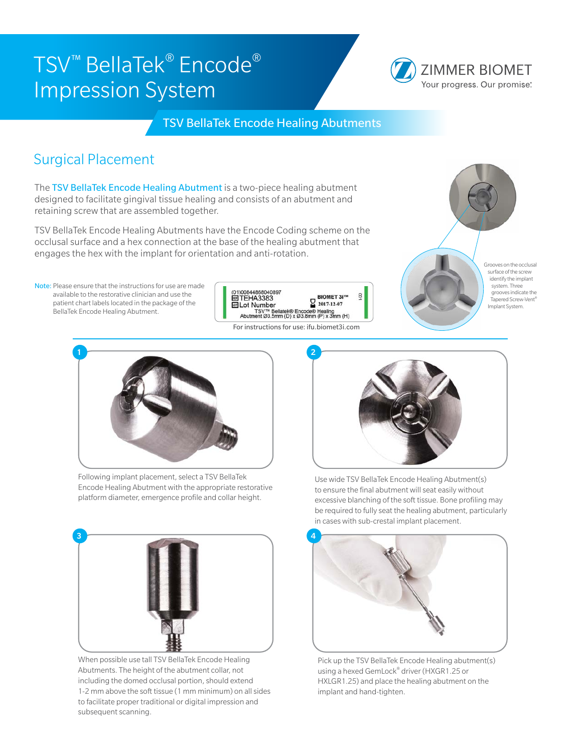# TSV™ BellaTek® Encode® Impression System



TSV BellaTek Encode Healing Abutments

### Surgical Placement

The TSV BellaTek Encode Healing Abutment is a two-piece healing abutment designed to facilitate gingival tissue healing and consists of an abutment and retaining screw that are assembled together.

TSV BellaTek Encode Healing Abutments have the Encode Coding scheme on the occlusal surface and a hex connection at the base of the healing abutment that engages the hex with the implant for orientation and anti-rotation.

Note: Please ensure that the instructions for use are made available to the restorative clinician and use the patient chart labels located in the package of the BellaTek Encode Healing Abutment.









Following implant placement, select a TSV BellaTek Encode Healing Abutment with the appropriate restorative platform diameter, emergence profile and collar height.



When possible use tall TSV BellaTek Encode Healing Abutments. The height of the abutment collar, not including the domed occlusal portion, should extend 1-2 mm above the soft tissue (1 mm minimum) on all sides to facilitate proper traditional or digital impression and subsequent scanning.



Use wide TSV BellaTek Encode Healing Abutment(s) to ensure the final abutment will seat easily without excessive blanching of the soft tissue. Bone profiling may be required to fully seat the healing abutment, particularly in cases with sub-crestal implant placement.



Pick up the TSV BellaTek Encode Healing abutment(s) using a hexed GemLock® driver (HXGR1.25 or HXLGR1.25) and place the healing abutment on the implant and hand-tighten.